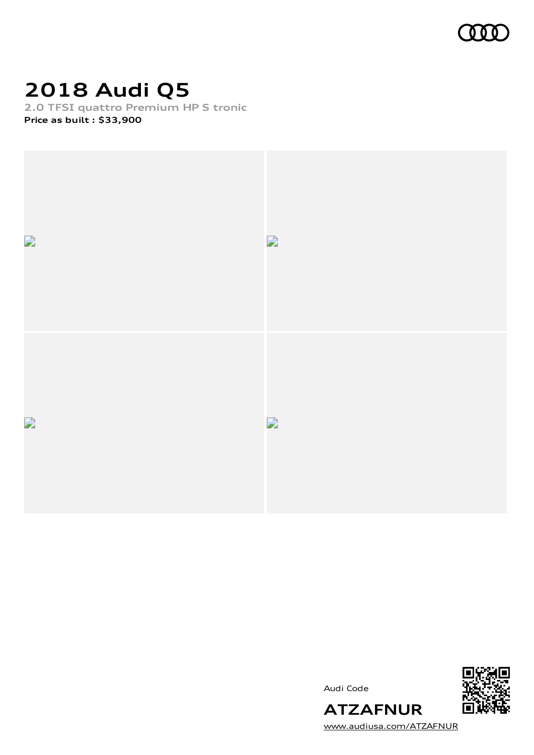

## **2018 Audi Q5**

**2.0 TFSI quattro Premium HP S tronic**

**Price as built [:](#page-10-0) \$33,900**



Audi Code



**ATZAFNUR** [www.audiusa.com/ATZAFNUR](https://www.audiusa.com/ATZAFNUR)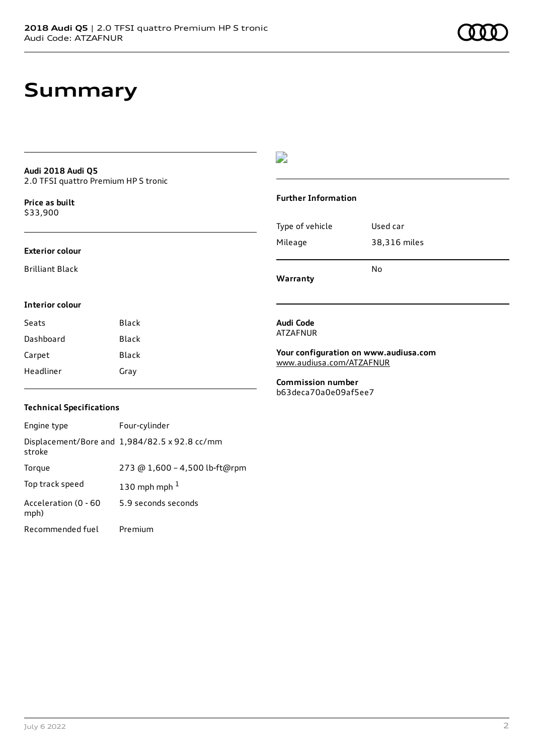### **Audi 2018 Audi Q5** 2.0 TFSI quattro Premium HP S tronic

**Price as buil[t](#page-10-0)** \$33,900

### **Exterior colour**

Brilliant Black

### **Interior colour**

| Seats     | Black |
|-----------|-------|
| Dashboard | Black |
| Carpet    | Black |
| Headliner | Gray  |

### $\overline{\phantom{a}}$

### **Further Information**

|                 | No           |
|-----------------|--------------|
| Mileage         | 38,316 miles |
| Type of vehicle | Used car     |

**Warranty**

#### **Audi Code** ATZAFNUR

**Your configuration on www.audiusa.com** [www.audiusa.com/ATZAFNUR](https://www.audiusa.com/ATZAFNUR)

**Commission number** b63deca70a0e09af5ee7

### **Technical Specifications**

| Engine type                  | Four-cylinder                                 |
|------------------------------|-----------------------------------------------|
| stroke                       | Displacement/Bore and 1,984/82.5 x 92.8 cc/mm |
| Torque                       | 273 @ 1,600 - 4,500 lb-ft@rpm                 |
| Top track speed              | 130 mph mph $1$                               |
| Acceleration (0 - 60<br>mph) | 5.9 seconds seconds                           |
| Recommended fuel             | Premium                                       |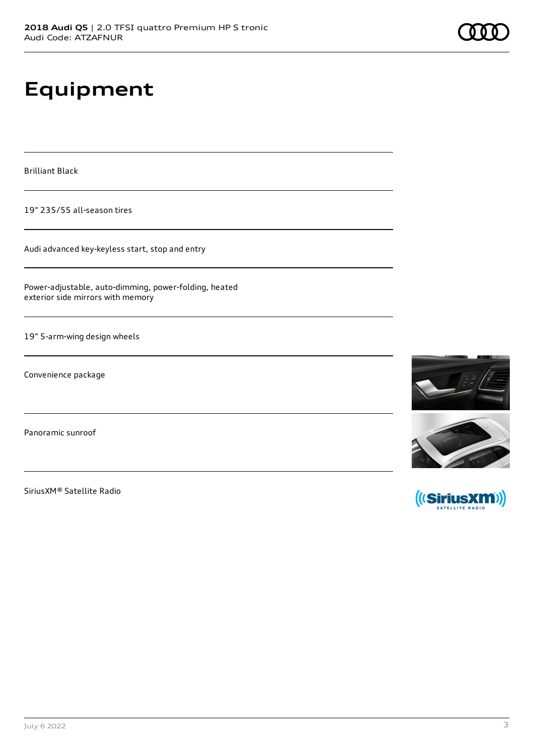# **Equipment**

Brilliant Black

19" 235/55 all-season tires

Audi advanced key-keyless start, stop and entry

Power-adjustable, auto-dimming, power-folding, heated exterior side mirrors with memory

19" 5-arm-wing design wheels

Convenience package

Panoramic sunroof

SiriusXM® Satellite Radio





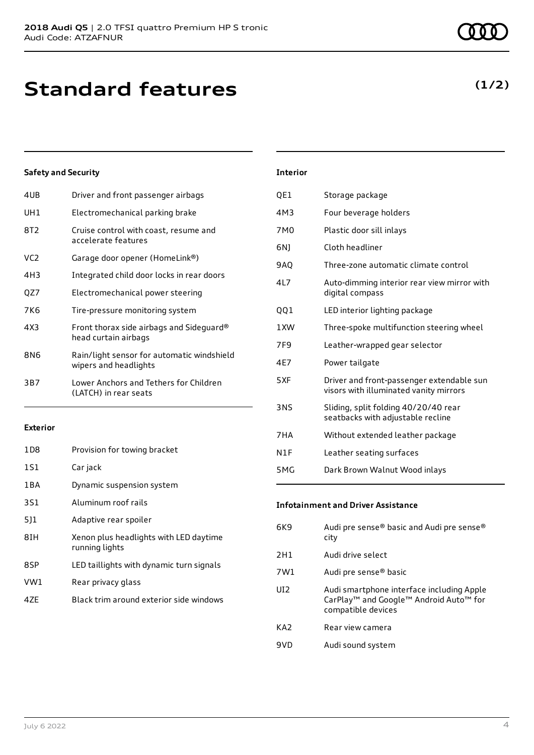| 4UB             | Driver and front passenger airbags                                  |
|-----------------|---------------------------------------------------------------------|
| UH1             | Electromechanical parking brake                                     |
| 8T <sub>2</sub> | Cruise control with coast, resume and<br>accelerate features        |
| VC <sub>2</sub> | Garage door opener (HomeLink®)                                      |
| 4H3             | Integrated child door locks in rear doors                           |
| QZ7             | Electromechanical power steering                                    |
| 7K6             | Tire-pressure monitoring system                                     |
| 4X3             | Front thorax side airbags and Sideguard®<br>head curtain airbags    |
| 8N6             | Rain/light sensor for automatic windshield<br>wipers and headlights |
| 3B7             | Lower Anchors and Tethers for Children<br>(LATCH) in rear seats     |
|                 |                                                                     |

### **Exterior**

| 1D <sub>8</sub> | Provision for towing bracket                             |
|-----------------|----------------------------------------------------------|
| 1S1             | Car jack                                                 |
| 1 B A           | Dynamic suspension system                                |
| 3S1             | Aluminum roof rails                                      |
| 511             | Adaptive rear spoiler                                    |
| 8IH             | Xenon plus headlights with LED daytime<br>running lights |
| 8SP             | LED taillights with dynamic turn signals                 |
| VW1             | Rear privacy glass                                       |
| 47F             | Black trim around exterior side windows                  |

| QE1             | Storage package                                                                     |
|-----------------|-------------------------------------------------------------------------------------|
| 4M3             | Four beverage holders                                                               |
| 7M0             | Plastic door sill inlays                                                            |
| 6NJ             | Cloth headliner                                                                     |
| 9AQ             | Three-zone automatic climate control                                                |
| 4L7             | Auto-dimming interior rear view mirror with<br>digital compass                      |
| QQ1             | LED interior lighting package                                                       |
| 1 XW            | Three-spoke multifunction steering wheel                                            |
| 7F <sub>9</sub> | Leather-wrapped gear selector                                                       |
| 4E7             | Power tailgate                                                                      |
| 5XF             | Driver and front-passenger extendable sun<br>visors with illuminated vanity mirrors |
| 3NS             | Sliding, split folding 40/20/40 rear<br>seatbacks with adjustable recline           |
| 7HA             | Without extended leather package                                                    |
| N1F             | Leather seating surfaces                                                            |

**Interior**

5MG Dark Brown Walnut Wood inlays

### **Infotainment and Driver Assistance**

| 6K9             | Audi pre sense® basic and Audi pre sense®<br>city                                                                                             |
|-----------------|-----------------------------------------------------------------------------------------------------------------------------------------------|
| 2H1             | Audi drive select                                                                                                                             |
| 7W1             | Audi pre sense® basic                                                                                                                         |
| UI <sub>2</sub> | Audi smartphone interface including Apple<br>CarPlay <sup>™</sup> and Google <sup>™</sup> Android Auto <sup>™</sup> for<br>compatible devices |
| KA <sub>2</sub> | Rear view camera                                                                                                                              |
| 9VD             | Audi sound system                                                                                                                             |

### **(1/2)**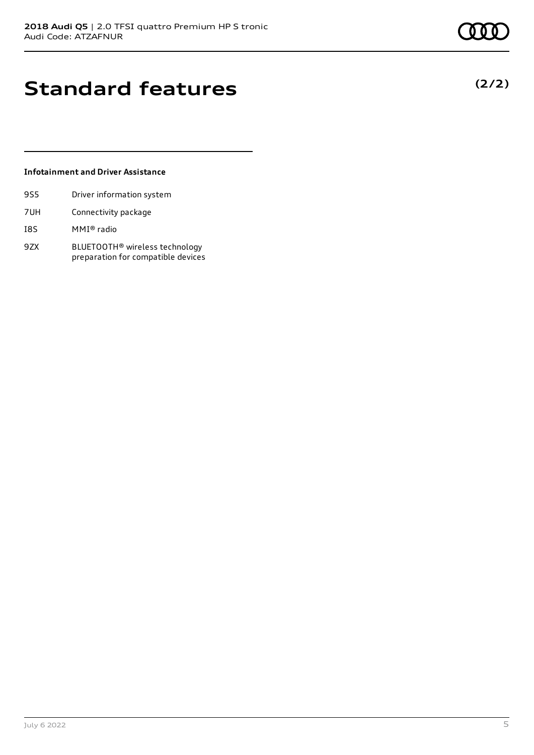**(2/2)**

## **Standard features**

### **Infotainment and Driver Assistance**

- 9S5 Driver information system
- 7UH Connectivity package
- I8S MMI® radio
- 9ZX BLUETOOTH® wireless technology preparation for compatible devices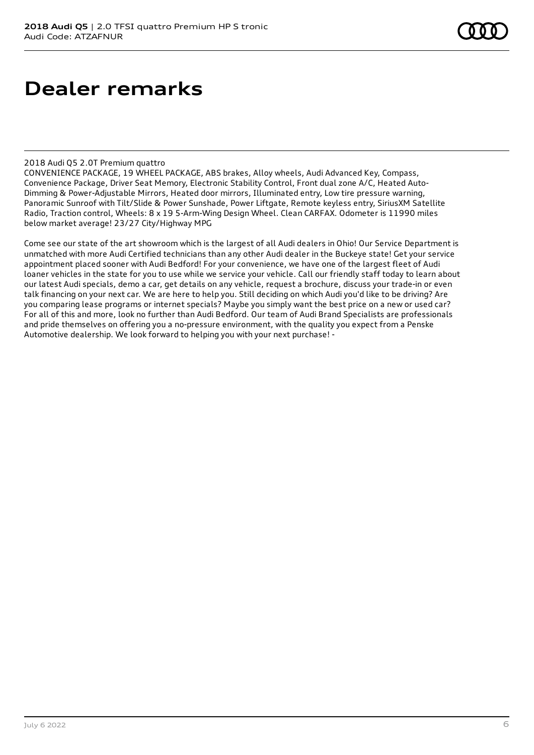### **Dealer remarks**

2018 Audi Q5 2.0T Premium quattro

CONVENIENCE PACKAGE, 19 WHEEL PACKAGE, ABS brakes, Alloy wheels, Audi Advanced Key, Compass, Convenience Package, Driver Seat Memory, Electronic Stability Control, Front dual zone A/C, Heated Auto-Dimming & Power-Adjustable Mirrors, Heated door mirrors, Illuminated entry, Low tire pressure warning, Panoramic Sunroof with Tilt/Slide & Power Sunshade, Power Liftgate, Remote keyless entry, SiriusXM Satellite Radio, Traction control, Wheels: 8 x 19 5-Arm-Wing Design Wheel. Clean CARFAX. Odometer is 11990 miles below market average! 23/27 City/Highway MPG

Come see our state of the art showroom which is the largest of all Audi dealers in Ohio! Our Service Department is unmatched with more Audi Certified technicians than any other Audi dealer in the Buckeye state! Get your service appointment placed sooner with Audi Bedford! For your convenience, we have one of the largest fleet of Audi loaner vehicles in the state for you to use while we service your vehicle. Call our friendly staff today to learn about our latest Audi specials, demo a car, get details on any vehicle, request a brochure, discuss your trade-in or even talk financing on your next car. We are here to help you. Still deciding on which Audi you'd like to be driving? Are you comparing lease programs or internet specials? Maybe you simply want the best price on a new or used car? For all of this and more, look no further than Audi Bedford. Our team of Audi Brand Specialists are professionals and pride themselves on offering you a no-pressure environment, with the quality you expect from a Penske Automotive dealership. We look forward to helping you with your next purchase! -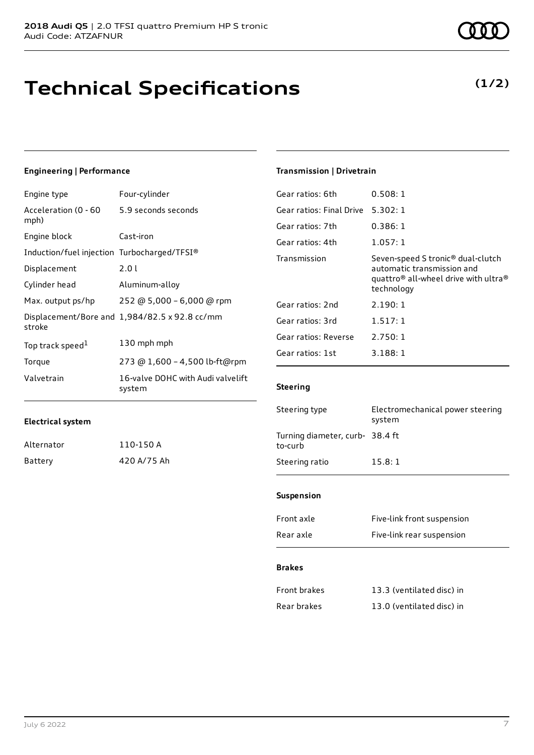# **Technical Specifications**

### **Engineering | Performance**

| Engine type                                 | Four-cylinder                                 |
|---------------------------------------------|-----------------------------------------------|
| Acceleration (0 - 60<br>mph)                | 5.9 seconds seconds                           |
| Engine block                                | Cast-iron                                     |
| Induction/fuel injection Turbocharged/TFSI® |                                               |
| Displacement                                | 2.01                                          |
| Cylinder head                               | Aluminum-alloy                                |
| Max. output ps/hp                           | 252 @ 5,000 - 6,000 @ rpm                     |
| stroke                                      | Displacement/Bore and 1,984/82.5 x 92.8 cc/mm |
| Top track speed <sup>1</sup>                | 130 mph mph                                   |
| Torque                                      | 273 @ 1,600 - 4,500 lb-ft@rpm                 |
| Valvetrain                                  | 16-valve DOHC with Audi valvelift<br>system   |

### **Transmission | Drivetrain**

| Gear ratios: 6th         | 0.508:1                                                                                                                                       |
|--------------------------|-----------------------------------------------------------------------------------------------------------------------------------------------|
| Gear ratios: Final Drive | 5.302:1                                                                                                                                       |
| Gear ratios: 7th         | 0.386:1                                                                                                                                       |
| Gear ratios: 4th         | 1.057:1                                                                                                                                       |
| Transmission             | Seven-speed S tronic® dual-clutch<br>automatic transmission and<br>quattro <sup>®</sup> all-wheel drive with ultra <sup>®</sup><br>technology |
| Gear ratios: 2nd         | 2.190:1                                                                                                                                       |
| Gear ratios: 3rd         | 1.517:1                                                                                                                                       |
| Gear ratios: Reverse     | 2.750:1                                                                                                                                       |
| Gear ratios: 1st         | 3.188:1                                                                                                                                       |

### **Steering**

| Steering type                             | Electromechanical power steering<br>system |
|-------------------------------------------|--------------------------------------------|
| Turning diameter, curb-38.4 ft<br>to-curb |                                            |
| Steering ratio                            | 15.8:1                                     |
|                                           |                                            |

### **Suspension**

| Front axle | Five-link front suspension |
|------------|----------------------------|
| Rear axle  | Five-link rear suspension  |

#### **Brakes**

| Front brakes | 13.3 (ventilated disc) in |
|--------------|---------------------------|
| Rear brakes  | 13.0 (ventilated disc) in |

| Alternator | 110-150 A   |
|------------|-------------|
| Battery    | 420 A/75 Ah |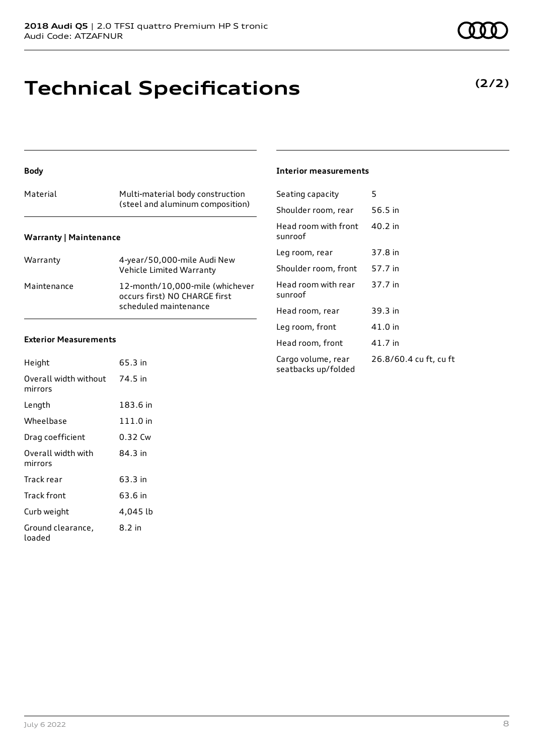## **Technical Specifications**

### **Body**

| Material | Multi-material body construction<br>(steel and aluminum composition) |
|----------|----------------------------------------------------------------------|
|          |                                                                      |

### **Warranty | Maintenance**

| Warranty    | 4-year/50,000-mile Audi New<br>Vehicle Limited Warranty                                   |
|-------------|-------------------------------------------------------------------------------------------|
| Maintenance | 12-month/10,000-mile (whichever<br>occurs first) NO CHARGE first<br>scheduled maintenance |

### **Exterior Measurements**

| Height                           | 65.3 in  |
|----------------------------------|----------|
| Overall width without<br>mirrors | 74.5 in  |
| Length                           | 183.6 in |
| Wheelbase                        | 111.0 in |
| Drag coefficient                 | 0.32 Cw  |
| Overall width with<br>mirrors    | 84 3 in  |
| Track rear                       | 63.3 in  |
| Track front                      | 63.6 in  |
| Curb weight                      | 4,045 lb |
| Ground clearance,<br>loaded      | 8.2 in   |

### **Interior measurements**

| Seating capacity                          | 5                      |
|-------------------------------------------|------------------------|
| Shoulder room, rear                       | 56.5 in                |
| Head room with front<br>sunroof           | 40.2 in                |
| Leg room, rear                            | 37.8 in                |
| Shoulder room, front                      | 57.7 in                |
| Head room with rear<br>sunroof            | 37.7 in                |
| Head room, rear                           | 39.3 in                |
| Leg room, front                           | 41.0 in                |
| Head room, front                          | 41.7 in                |
| Cargo volume, rear<br>seatbacks up/folded | 26.8/60.4 cu ft, cu ft |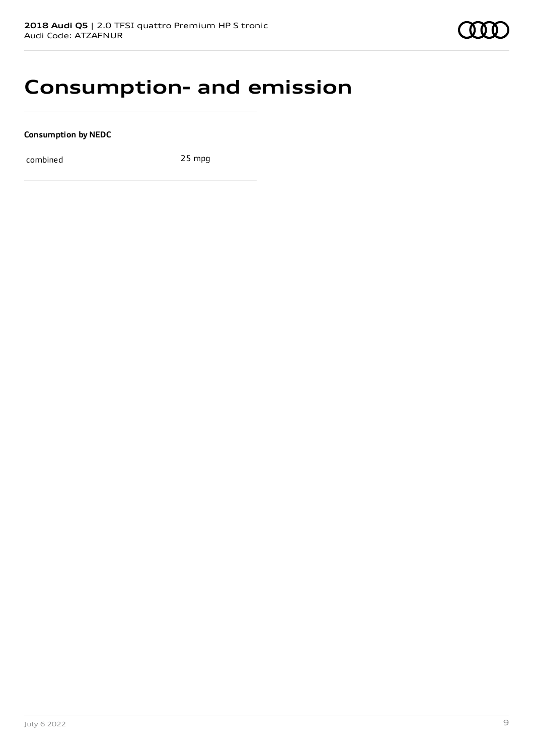### **Consumption- and emission**

**Consumption by NEDC**

combined 25 mpg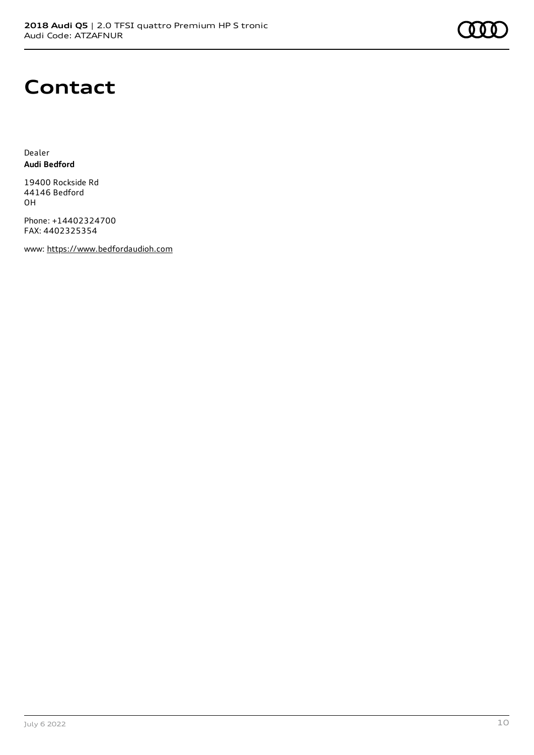### **Contact**

Dealer **Audi Bedford**

19400 Rockside Rd 44146 Bedford OH

Phone: +14402324700 FAX: 4402325354

www: [https://www.bedfordaudioh.com](https://www.bedfordaudioh.com/)